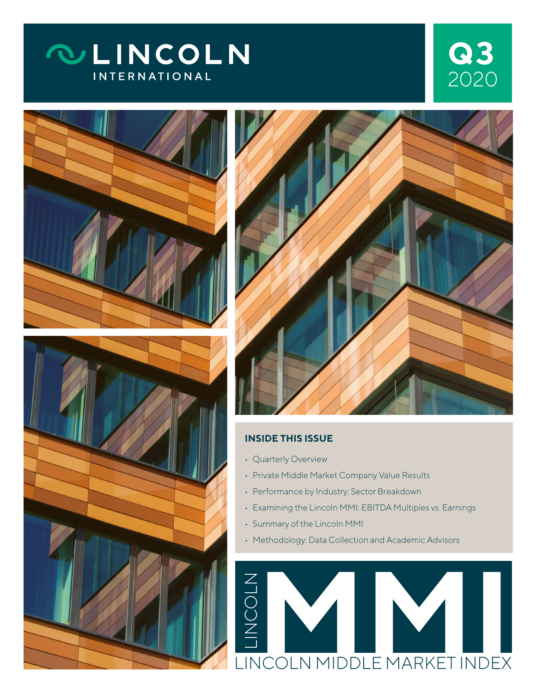## **QLINCOLN INTERNATIONAL**

## 2020 **3**





#### **INSIDE THIS ISSUE**

- Quarterly Overview
- Private Middle Market Company Value Results
- Performance by Industry: Sector Breakdown
- Examining the Lincoln MMI: EBITDA Multiples vs. Earnings
- Summary of the Lincoln MMI
- Methodology: Data Collection and Academic Advisors

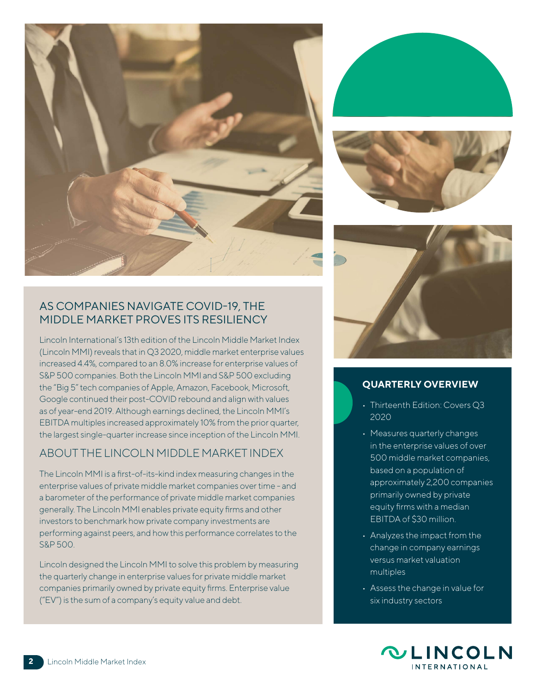







## **QUARTERLY OVERVIEW**

- Thirteenth Edition: Covers Q3 2020
- Measures quarterly changes in the enterprise values of over 500 middle market companies, based on a population of approximately 2,200 companies primarily owned by private equity firms with a median EBITDA of \$30 million.
- Analyzes the impact from the change in company earnings versus market valuation multiples
- Assess the change in value for six industry sectors



#### AS COMPANIES NAVIGATE COVID-19, THE MIDDLE MARKET PROVES ITS RESILIENCY

Lincoln International's 13th edition of the Lincoln Middle Market Index (Lincoln MMI) reveals that in Q3 2020, middle market enterprise values increased 4.4%, compared to an 8.0% increase for enterprise values of S&P 500 companies. Both the Lincoln MMI and S&P 500 excluding the "Big 5" tech companies of Apple, Amazon, Facebook, Microsoft, Google continued their post-COVID rebound and align with values as of year-end 2019. Although earnings declined, the Lincoln MMI's EBITDA multiples increased approximately 10% from the prior quarter, the largest single-quarter increase since inception of the Lincoln MMI.

#### ABOUT THE LINCOLN MIDDLE MARKET INDEX

The Lincoln MMI is a first-of-its-kind index measuring changes in the enterprise values of private middle market companies over time - and a barometer of the performance of private middle market companies generally. The Lincoln MMI enables private equity firms and other investors to benchmark how private company investments are performing against peers, and how this performance correlates to the S&P 500.

Lincoln designed the Lincoln MMI to solve this problem by measuring the quarterly change in enterprise values for private middle market companies primarily owned by private equity firms. Enterprise value ("EV") is the sum of a company's equity value and debt.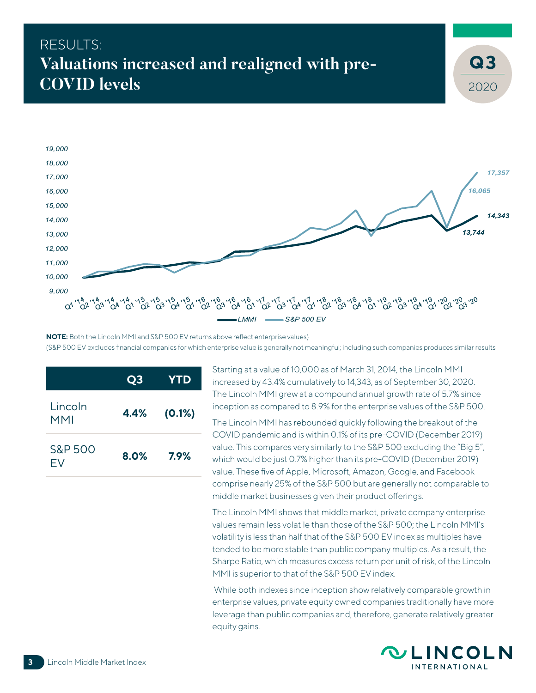## RESULTS: **Valuations increased and realigned with pre-COVID levels**



**NOTE:** Both the Lincoln MMI and S&P 500 EV returns above reflect enterprise values) (S&P 500 EV excludes financial companies for which enterprise value is generally not meaningful; including such companies produces similar results

|                | Q <sub>3</sub> | <b>YTD</b> |
|----------------|----------------|------------|
| Lincoln<br>MMI | 4.4%           | (0.1%)     |
| S&P 500<br>FV  | 8.0%           | 7.9%       |

Starting at a value of 10,000 as of March 31, 2014, the Lincoln MMI increased by 43.4% cumulatively to 14,343, as of September 30, 2020. The Lincoln MMI grew at a compound annual growth rate of 5.7% since inception as compared to 8.9% for the enterprise values of the S&P 500.

The Lincoln MMI has rebounded quickly following the breakout of the COVID pandemic and is within 0.1% of its pre-COVID (December 2019) value. This compares very similarly to the S&P 500 excluding the "Big 5", which would be just 0.7% higher than its pre-COVID (December 2019) value. These five of Apple, Microsoft, Amazon, Google, and Facebook comprise nearly 25% of the S&P 500 but are generally not comparable to middle market businesses given their product offerings.

The Lincoln MMI shows that middle market, private company enterprise values remain less volatile than those of the S&P 500; the Lincoln MMI's volatility is less than half that of the S&P 500 EV index as multiples have tended to be more stable than public company multiples. As a result, the Sharpe Ratio, which measures excess return per unit of risk, of the Lincoln MMI is superior to that of the S&P 500 EV index.

 While both indexes since inception show relatively comparable growth in enterprise values, private equity owned companies traditionally have more leverage than public companies and, therefore, generate relatively greater equity gains.



2020

**3**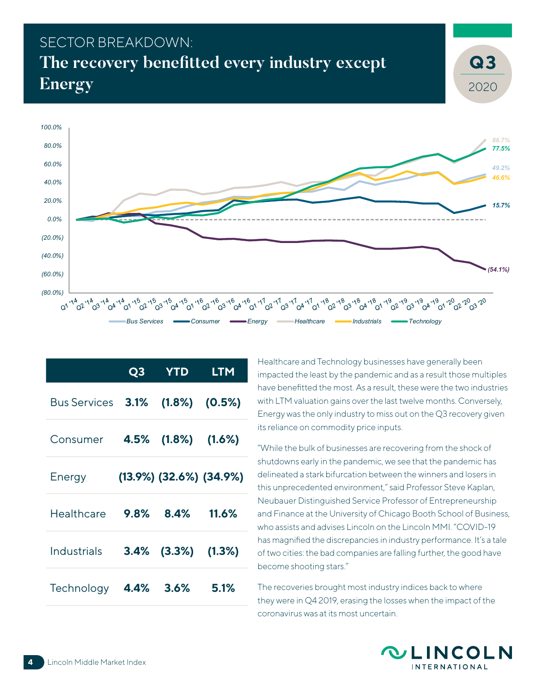## SECTOR BREAKDOWN: **The recovery benefitted every industry except Energy**



|              | Q <sub>3</sub> | <b>YTD</b>                       | <b>LTM</b> |
|--------------|----------------|----------------------------------|------------|
| Bus Services | 3.1%           | $(1.8\%)$ $(0.5\%)$              |            |
| Consumer     | 4.5%           | $(1.8\%)$ $(1.6\%)$              |            |
| Energy       |                | $(13.9\%)$ $(32.6\%)$ $(34.9\%)$ |            |
| Healthcare   | 9.8%           | 8.4%                             | 11.6%      |
| Industrials  | $3.4\%$        | (3.3%)                           | (1.3%)     |
| Technology   | 4.4%           | 3.6%                             | 5.1%       |

Healthcare and Technology businesses have generally been impacted the least by the pandemic and as a result those multiples have benefitted the most. As a result, these were the two industries with LTM valuation gains over the last twelve months. Conversely, Energy was the only industry to miss out on the Q3 recovery given its reliance on commodity price inputs.

"While the bulk of businesses are recovering from the shock of shutdowns early in the pandemic, we see that the pandemic has delineated a stark bifurcation between the winners and losers in this unprecedented environment," said Professor Steve Kaplan, Neubauer Distinguished Service Professor of Entrepreneurship and Finance at the University of Chicago Booth School of Business, who assists and advises Lincoln on the Lincoln MMI. "COVID-19 has magnified the discrepancies in industry performance. It's a tale of two cities: the bad companies are falling further, the good have become shooting stars."

The recoveries brought most industry indices back to where they were in Q4 2019, erasing the losses when the impact of the coronavirus was at its most uncertain.



2020

**3**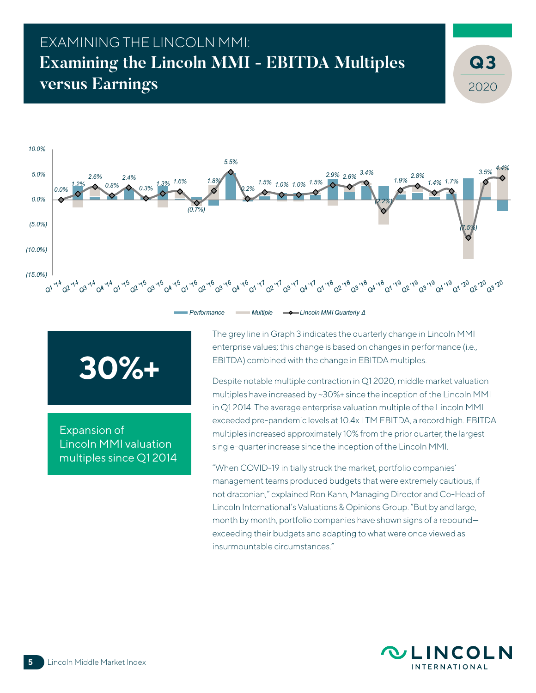## EXAMINING THE LINCOLN MMI: **Examining the Lincoln MMI - EBITDA Multiples versus Earnings**



# **30%+**

Expansion of Lincoln MMI valuation multiples since Q1 2014 The grey line in Graph 3 indicates the quarterly change in Lincoln MMI enterprise values; this change is based on changes in performance (i.e., EBITDA) combined with the change in EBITDA multiples.

Despite notable multiple contraction in Q1 2020, middle market valuation multiples have increased by ~30%+ since the inception of the Lincoln MMI in Q1 2014. The average enterprise valuation multiple of the Lincoln MMI exceeded pre-pandemic levels at 10.4x LTM EBITDA, a record high. EBITDA multiples increased approximately 10% from the prior quarter, the largest single-quarter increase since the inception of the Lincoln MMI.

"When COVID-19 initially struck the market, portfolio companies' management teams produced budgets that were extremely cautious, if not draconian," explained Ron Kahn, Managing Director and Co-Head of Lincoln International's Valuations & Opinions Group. "But by and large, month by month, portfolio companies have shown signs of a rebound exceeding their budgets and adapting to what were once viewed as insurmountable circumstances."



2020

**3**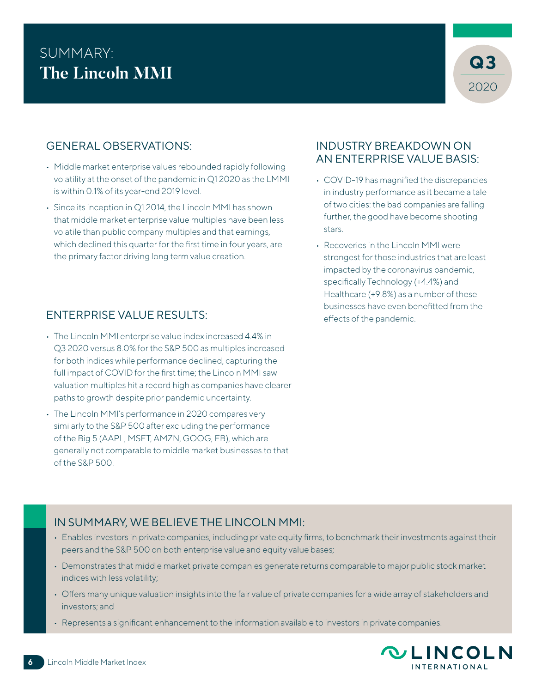## SUMMARY:<br>The Lineals MML **The Lincoln MMI**



### GENERAL OBSERVATIONS:

- Middle market enterprise values rebounded rapidly following volatility at the onset of the pandemic in Q1 2020 as the LMMI is within 0.1% of its year-end 2019 level.
- Since its inception in Q1 2014, the Lincoln MMI has shown that middle market enterprise value multiples have been less volatile than public company multiples and that earnings, which declined this quarter for the first time in four years, are the primary factor driving long term value creation.

#### ENTERPRISE VALUE RESULTS:

- The Lincoln MMI enterprise value index increased 4.4% in Q3 2020 versus 8.0% for the S&P 500 as multiples increased for both indices while performance declined, capturing the full impact of COVID for the first time; the Lincoln MMI saw valuation multiples hit a record high as companies have clearer paths to growth despite prior pandemic uncertainty.
- The Lincoln MMI's performance in 2020 compares very similarly to the S&P 500 after excluding the performance of the Big 5 (AAPL, MSFT, AMZN, GOOG, FB), which are generally not comparable to middle market businesses.to that of the S&P 500.

#### INDUSTRY BREAKDOWN ON AN ENTERPRISE VALUE BASIS:

- COVID-19 has magnified the discrepancies in industry performance as it became a tale of two cities: the bad companies are falling further, the good have become shooting stars.
- Recoveries in the Lincoln MMI were strongest for those industries that are least impacted by the coronavirus pandemic, specifically Technology (+4.4%) and Healthcare (+9.8%) as a number of these businesses have even benefitted from the effects of the pandemic.

#### IN SUMMARY, WE BELIEVE THE LINCOLN MMI:

- Enables investors in private companies, including private equity firms, to benchmark their investments against their peers and the S&P 500 on both enterprise value and equity value bases;
- Demonstrates that middle market private companies generate returns comparable to major public stock market indices with less volatility;
- Offers many unique valuation insights into the fair value of private companies for a wide array of stakeholders and investors; and
- Represents a significant enhancement to the information available to investors in private companies.

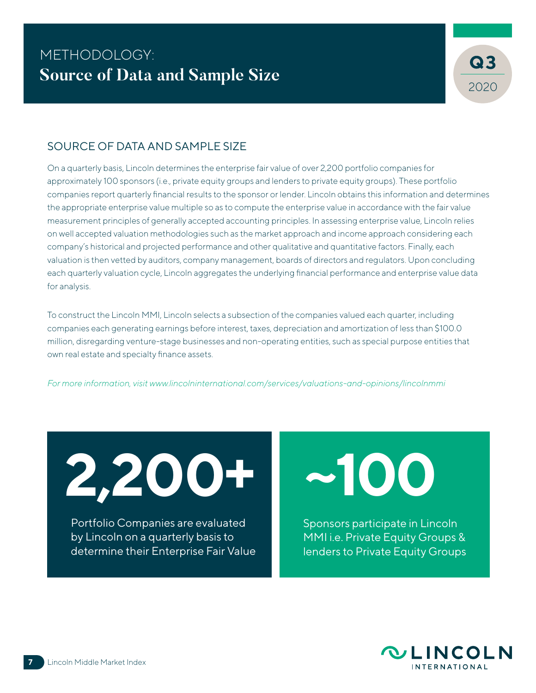

#### SOURCE OF DATA AND SAMPLE SIZE

On a quarterly basis, Lincoln determines the enterprise fair value of over 2,200 portfolio companies for approximately 100 sponsors (i.e., private equity groups and lenders to private equity groups). These portfolio companies report quarterly financial results to the sponsor or lender. Lincoln obtains this information and determines the appropriate enterprise value multiple so as to compute the enterprise value in accordance with the fair value measurement principles of generally accepted accounting principles. In assessing enterprise value, Lincoln relies on well accepted valuation methodologies such as the market approach and income approach considering each company's historical and projected performance and other qualitative and quantitative factors. Finally, each valuation is then vetted by auditors, company management, boards of directors and regulators. Upon concluding each quarterly valuation cycle, Lincoln aggregates the underlying financial performance and enterprise value data for analysis.

To construct the Lincoln MMI, Lincoln selects a subsection of the companies valued each quarter, including companies each generating earnings before interest, taxes, depreciation and amortization of less than \$100.0 million, disregarding venture-stage businesses and non-operating entities, such as special purpose entities that own real estate and specialty finance assets.

*For more information, visit [www.lincolninternational.com/services/valuations-and-opinions/lincolnmmi](http://www.lincolninternational.com/services/valuations-and-opinions/lincolnmmi
)*

**2,200+**

Portfolio Companies are evaluated by Lincoln on a quarterly basis to determine their Enterprise Fair Value **~100**

Sponsors participate in Lincoln MMI i.e. Private Equity Groups & lenders to Private Equity Groups

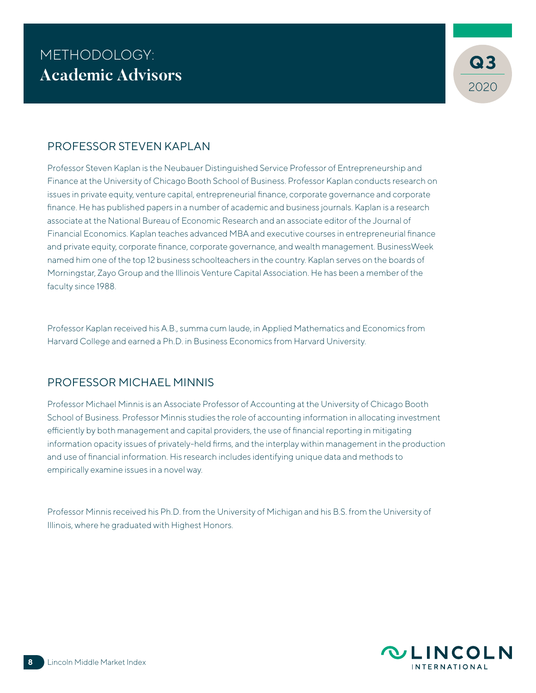

#### PROFESSOR STEVEN KAPLAN

Professor Steven Kaplan is the Neubauer Distinguished Service Professor of Entrepreneurship and Finance at the University of Chicago Booth School of Business. Professor Kaplan conducts research on issues in private equity, venture capital, entrepreneurial finance, corporate governance and corporate finance. He has published papers in a number of academic and business journals. Kaplan is a research associate at the National Bureau of Economic Research and an associate editor of the Journal of Financial Economics. Kaplan teaches advanced MBA and executive courses in entrepreneurial finance and private equity, corporate finance, corporate governance, and wealth management. BusinessWeek named him one of the top 12 business schoolteachers in the country. Kaplan serves on the boards of Morningstar, Zayo Group and the Illinois Venture Capital Association. He has been a member of the faculty since 1988.

Professor Kaplan received his A.B., summa cum laude, in Applied Mathematics and Economics from Harvard College and earned a Ph.D. in Business Economics from Harvard University.

#### PROFESSOR MICHAEL MINNIS

Professor Michael Minnis is an Associate Professor of Accounting at the University of Chicago Booth School of Business. Professor Minnis studies the role of accounting information in allocating investment efficiently by both management and capital providers, the use of financial reporting in mitigating information opacity issues of privately-held firms, and the interplay within management in the production and use of financial information. His research includes identifying unique data and methods to empirically examine issues in a novel way.

Professor Minnis received his Ph.D. from the University of Michigan and his B.S. from the University of Illinois, where he graduated with Highest Honors.